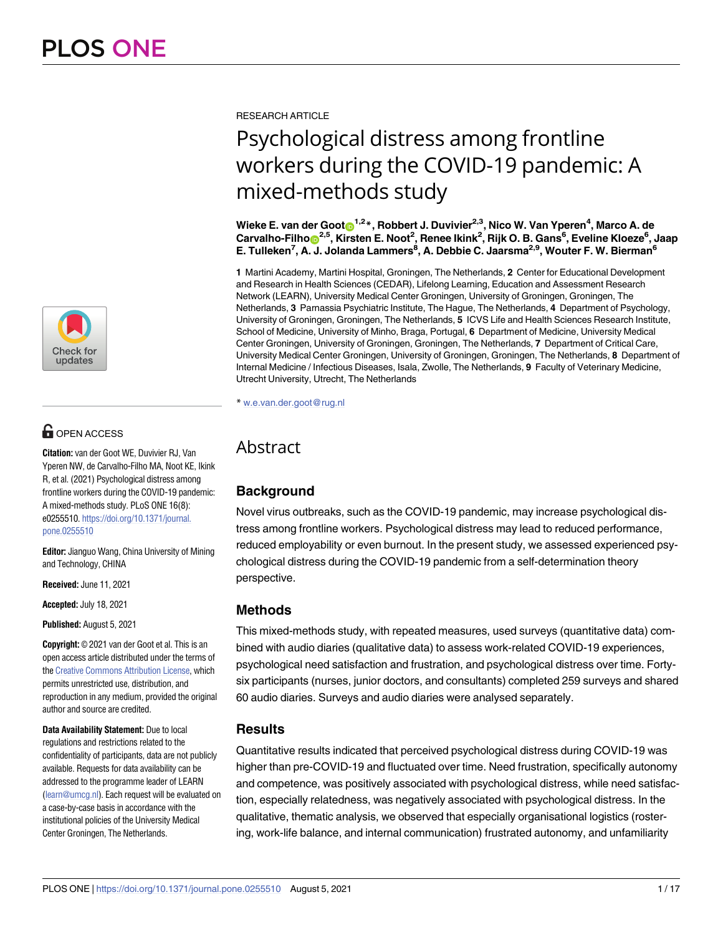

# **G** OPEN ACCESS

**Citation:** van der Goot WE, Duvivier RJ, Van Yperen NW, de Carvalho-Filho MA, Noot KE, Ikink R, et al. (2021) Psychological distress among frontline workers during the COVID-19 pandemic: A mixed-methods study. PLoS ONE 16(8): e0255510. https://doi.org/10.1371/journal. pone.0255510

**Editor:** Jianguo Wang, China University of Mining and Technology, CHINA

**Received:** June 11, 2021

**Accepted:** July 18, 2021

**Published:** August 5, 2021

**Copyright:** © 2021 van der Goot et al. This is an open access article distributed under the terms of the Creative Commons Attribution License, which permits unrestricted use, distribution, and reproduction in any medium, provided the original author and source are credited.

**Data Availability Statement:** Due to local regulations and restrictions related to the confidentiality of participants, data are not publicly available. Requests for data availability can be addressed to the programme leader of LEARN (learn@umcg.nl). Each request will be evaluated on a case-by-case basis in accordance with the institutional policies of the University Medical Center Groningen, The Netherlands.

RESEARCH ARTICLE

# Psychological distress among frontline workers during the COVID-19 pandemic: A mixed-methods study

 $W$ ieke E. van der Goot $\textbf{O}^{1,2}$ \*, Robbert J. Duvivier $^{2,3}$ , Nico W. Van Yperen $^4$ , Marco A. de  $\hat{\text{C}}$ arvalho-Filho $\hat{\text{D}}^{2,5}$ , Kirsten E. Noot<sup>2</sup>, Renee Ikink<sup>2</sup>, Rijk O. B. Gans<sup>6</sup>, Eveline Kloeze<sup>6</sup>, Jaap **E. Tulleken7 , A. J. Jolanda Lammers8 , A. Debbie C. Jaarsma2,9, Wouter F. W. Bierman6**

**1** Martini Academy, Martini Hospital, Groningen, The Netherlands, **2** Center for Educational Development and Research in Health Sciences (CEDAR), Lifelong Learning, Education and Assessment Research Network (LEARN), University Medical Center Groningen, University of Groningen, Groningen, The Netherlands, **3** Parnassia Psychiatric Institute, The Hague, The Netherlands, **4** Department of Psychology, University of Groningen, Groningen, The Netherlands, **5** ICVS Life and Health Sciences Research Institute, School of Medicine, University of Minho, Braga, Portugal, **6** Department of Medicine, University Medical Center Groningen, University of Groningen, Groningen, The Netherlands, **7** Department of Critical Care, University Medical Center Groningen, University of Groningen, Groningen, The Netherlands, **8** Department of Internal Medicine / Infectious Diseases, Isala, Zwolle, The Netherlands, **9** Faculty of Veterinary Medicine, Utrecht University, Utrecht, The Netherlands

\* w.e.van.der.goot@rug.nl

# Abstract

# **Background**

Novel virus outbreaks, such as the COVID-19 pandemic, may increase psychological distress among frontline workers. Psychological distress may lead to reduced performance, reduced employability or even burnout. In the present study, we assessed experienced psychological distress during the COVID-19 pandemic from a self-determination theory perspective.

# **Methods**

This mixed-methods study, with repeated measures, used surveys (quantitative data) combined with audio diaries (qualitative data) to assess work-related COVID-19 experiences, psychological need satisfaction and frustration, and psychological distress over time. Fortysix participants (nurses, junior doctors, and consultants) completed 259 surveys and shared 60 audio diaries. Surveys and audio diaries were analysed separately.

# **Results**

Quantitative results indicated that perceived psychological distress during COVID-19 was higher than pre-COVID-19 and fluctuated over time. Need frustration, specifically autonomy and competence, was positively associated with psychological distress, while need satisfaction, especially relatedness, was negatively associated with psychological distress. In the qualitative, thematic analysis, we observed that especially organisational logistics (rostering, work-life balance, and internal communication) frustrated autonomy, and unfamiliarity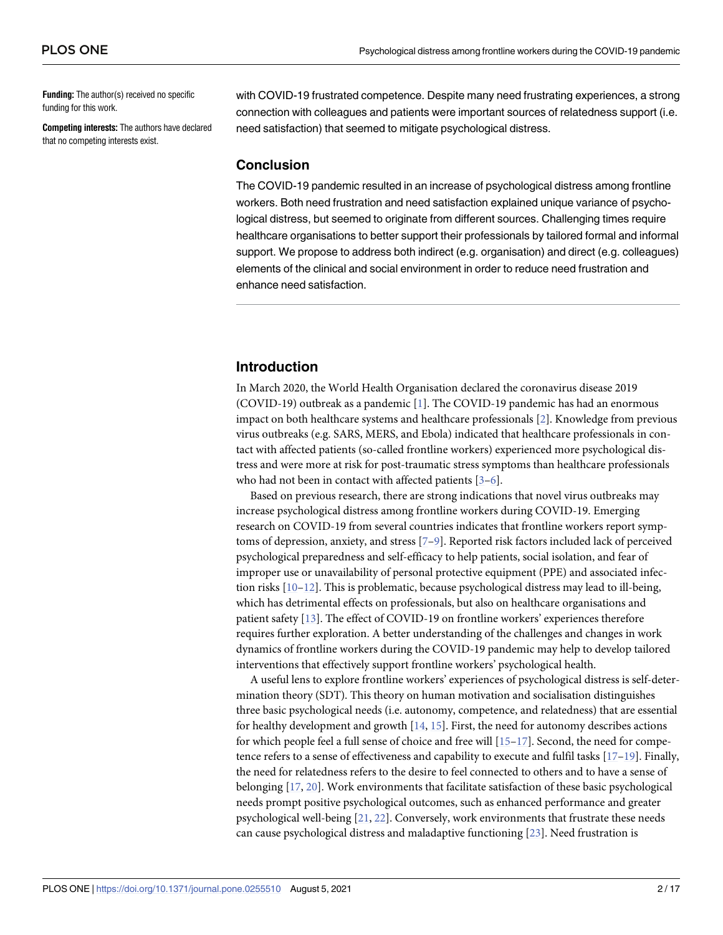**Funding:** The author(s) received no specific funding for this work.

**Competing interests:** The authors have declared that no competing interests exist.

with COVID-19 frustrated competence. Despite many need frustrating experiences, a strong connection with colleagues and patients were important sources of relatedness support (i.e. need satisfaction) that seemed to mitigate psychological distress.

#### **Conclusion**

The COVID-19 pandemic resulted in an increase of psychological distress among frontline workers. Both need frustration and need satisfaction explained unique variance of psychological distress, but seemed to originate from different sources. Challenging times require healthcare organisations to better support their professionals by tailored formal and informal support. We propose to address both indirect (e.g. organisation) and direct (e.g. colleagues) elements of the clinical and social environment in order to reduce need frustration and enhance need satisfaction.

# **Introduction**

In March 2020, the World Health Organisation declared the coronavirus disease 2019 (COVID-19) outbreak as a pandemic [1]. The COVID-19 pandemic has had an enormous impact on both healthcare systems and healthcare professionals [2]. Knowledge from previous virus outbreaks (e.g. SARS, MERS, and Ebola) indicated that healthcare professionals in contact with affected patients (so-called frontline workers) experienced more psychological distress and were more at risk for post-traumatic stress symptoms than healthcare professionals who had not been in contact with affected patients [3–6].

Based on previous research, there are strong indications that novel virus outbreaks may increase psychological distress among frontline workers during COVID-19. Emerging research on COVID-19 from several countries indicates that frontline workers report symptoms of depression, anxiety, and stress [7–9]. Reported risk factors included lack of perceived psychological preparedness and self-efficacy to help patients, social isolation, and fear of improper use or unavailability of personal protective equipment (PPE) and associated infection risks [10–12]. This is problematic, because psychological distress may lead to ill-being, which has detrimental effects on professionals, but also on healthcare organisations and patient safety [13]. The effect of COVID-19 on frontline workers' experiences therefore requires further exploration. A better understanding of the challenges and changes in work dynamics of frontline workers during the COVID-19 pandemic may help to develop tailored interventions that effectively support frontline workers' psychological health.

A useful lens to explore frontline workers' experiences of psychological distress is self-determination theory (SDT). This theory on human motivation and socialisation distinguishes three basic psychological needs (i.e. autonomy, competence, and relatedness) that are essential for healthy development and growth [14, 15]. First, the need for autonomy describes actions for which people feel a full sense of choice and free will  $[15-17]$ . Second, the need for competence refers to a sense of effectiveness and capability to execute and fulfil tasks [17–19]. Finally, the need for relatedness refers to the desire to feel connected to others and to have a sense of belonging [17, 20]. Work environments that facilitate satisfaction of these basic psychological needs prompt positive psychological outcomes, such as enhanced performance and greater psychological well-being [21, 22]. Conversely, work environments that frustrate these needs can cause psychological distress and maladaptive functioning [23]. Need frustration is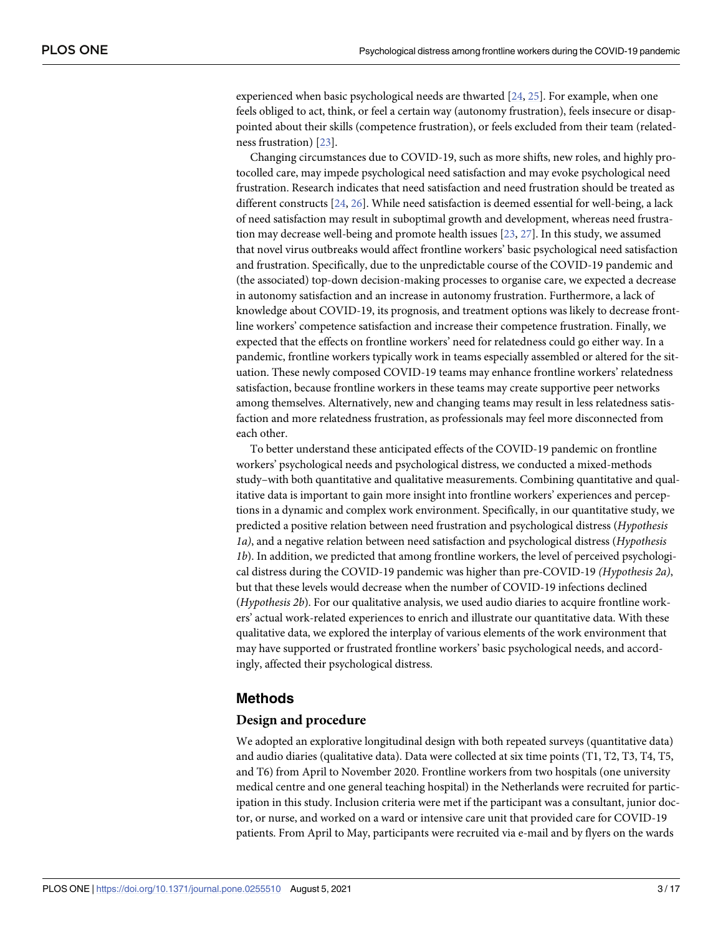experienced when basic psychological needs are thwarted [24, 25]. For example, when one feels obliged to act, think, or feel a certain way (autonomy frustration), feels insecure or disappointed about their skills (competence frustration), or feels excluded from their team (relatedness frustration) [23].

Changing circumstances due to COVID-19, such as more shifts, new roles, and highly protocolled care, may impede psychological need satisfaction and may evoke psychological need frustration. Research indicates that need satisfaction and need frustration should be treated as different constructs [24, 26]. While need satisfaction is deemed essential for well-being, a lack of need satisfaction may result in suboptimal growth and development, whereas need frustration may decrease well-being and promote health issues [23, 27]. In this study, we assumed that novel virus outbreaks would affect frontline workers' basic psychological need satisfaction and frustration. Specifically, due to the unpredictable course of the COVID-19 pandemic and (the associated) top-down decision-making processes to organise care, we expected a decrease in autonomy satisfaction and an increase in autonomy frustration. Furthermore, a lack of knowledge about COVID-19, its prognosis, and treatment options was likely to decrease frontline workers' competence satisfaction and increase their competence frustration. Finally, we expected that the effects on frontline workers' need for relatedness could go either way. In a pandemic, frontline workers typically work in teams especially assembled or altered for the situation. These newly composed COVID-19 teams may enhance frontline workers' relatedness satisfaction, because frontline workers in these teams may create supportive peer networks among themselves. Alternatively, new and changing teams may result in less relatedness satisfaction and more relatedness frustration, as professionals may feel more disconnected from each other.

To better understand these anticipated effects of the COVID-19 pandemic on frontline workers' psychological needs and psychological distress, we conducted a mixed-methods study–with both quantitative and qualitative measurements. Combining quantitative and qualitative data is important to gain more insight into frontline workers' experiences and perceptions in a dynamic and complex work environment. Specifically, in our quantitative study, we predicted a positive relation between need frustration and psychological distress (*Hypothesis 1a)*, and a negative relation between need satisfaction and psychological distress (*Hypothesis 1b*). In addition, we predicted that among frontline workers, the level of perceived psychological distress during the COVID-19 pandemic was higher than pre-COVID-19 *(Hypothesis 2a)*, but that these levels would decrease when the number of COVID-19 infections declined (*Hypothesis 2b*). For our qualitative analysis, we used audio diaries to acquire frontline workers' actual work-related experiences to enrich and illustrate our quantitative data. With these qualitative data, we explored the interplay of various elements of the work environment that may have supported or frustrated frontline workers' basic psychological needs, and accordingly, affected their psychological distress.

#### **Methods**

#### **Design and procedure**

We adopted an explorative longitudinal design with both repeated surveys (quantitative data) and audio diaries (qualitative data). Data were collected at six time points (T1, T2, T3, T4, T5, and T6) from April to November 2020. Frontline workers from two hospitals (one university medical centre and one general teaching hospital) in the Netherlands were recruited for participation in this study. Inclusion criteria were met if the participant was a consultant, junior doctor, or nurse, and worked on a ward or intensive care unit that provided care for COVID-19 patients. From April to May, participants were recruited via e-mail and by flyers on the wards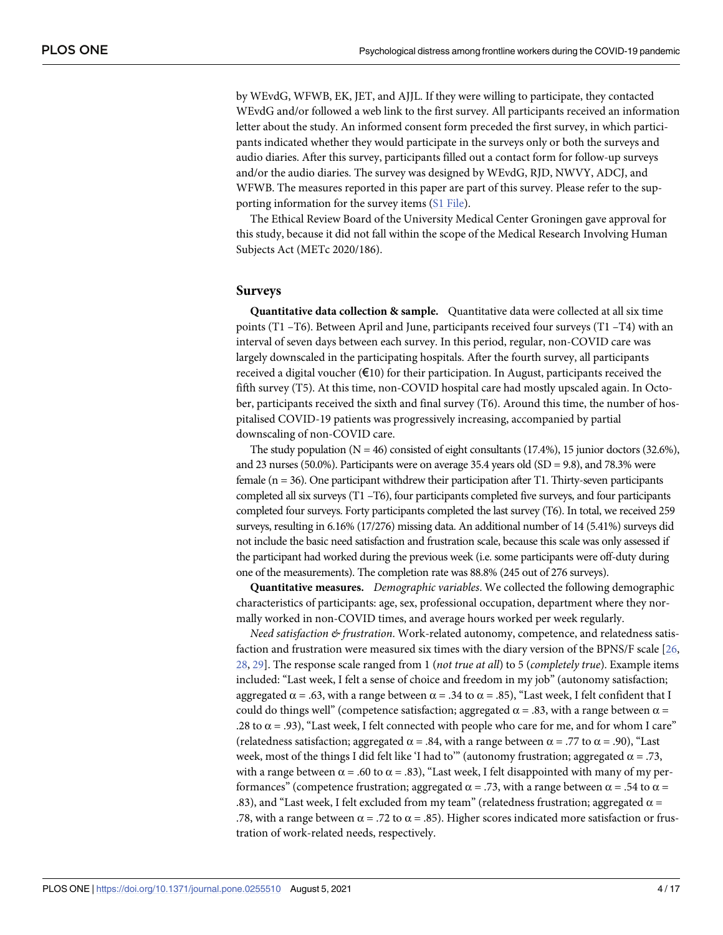by WEvdG, WFWB, EK, JET, and AJJL. If they were willing to participate, they contacted WEvdG and/or followed a web link to the first survey. All participants received an information letter about the study. An informed consent form preceded the first survey, in which participants indicated whether they would participate in the surveys only or both the surveys and audio diaries. After this survey, participants filled out a contact form for follow-up surveys and/or the audio diaries. The survey was designed by WEvdG, RJD, NWVY, ADCJ, and WFWB. The measures reported in this paper are part of this survey. Please refer to the supporting information for the survey items (S1 File).

The Ethical Review Board of the University Medical Center Groningen gave approval for this study, because it did not fall within the scope of the Medical Research Involving Human Subjects Act (METc 2020/186).

#### **Surveys**

**Quantitative data collection & sample.** Quantitative data were collected at all six time points (T1 –T6). Between April and June, participants received four surveys (T1 –T4) with an interval of seven days between each survey. In this period, regular, non-COVID care was largely downscaled in the participating hospitals. After the fourth survey, all participants received a digital voucher  $(\epsilon 10)$  for their participation. In August, participants received the fifth survey (T5). At this time, non-COVID hospital care had mostly upscaled again. In October, participants received the sixth and final survey (T6). Around this time, the number of hospitalised COVID-19 patients was progressively increasing, accompanied by partial downscaling of non-COVID care.

The study population  $(N = 46)$  consisted of eight consultants (17.4%), 15 junior doctors (32.6%), and 23 nurses (50.0%). Participants were on average 35.4 years old ( $SD = 9.8$ ), and 78.3% were female ( $n = 36$ ). One participant withdrew their participation after T1. Thirty-seven participants completed all six surveys (T1 –T6), four participants completed five surveys, and four participants completed four surveys. Forty participants completed the last survey (T6). In total, we received 259 surveys, resulting in 6.16% (17/276) missing data. An additional number of 14 (5.41%) surveys did not include the basic need satisfaction and frustration scale, because this scale was only assessed if the participant had worked during the previous week (i.e. some participants were off-duty during one of the measurements). The completion rate was 88.8% (245 out of 276 surveys).

**Quantitative measures.** *Demographic variables*. We collected the following demographic characteristics of participants: age, sex, professional occupation, department where they normally worked in non-COVID times, and average hours worked per week regularly.

*Need satisfaction & frustration*. Work-related autonomy, competence, and relatedness satisfaction and frustration were measured six times with the diary version of the BPNS/F scale [26, 28, 29]. The response scale ranged from 1 (*not true at all*) to 5 (*completely true*). Example items included: "Last week, I felt a sense of choice and freedom in my job" (autonomy satisfaction; aggregated  $\alpha = .63$ , with a range between  $\alpha = .34$  to  $\alpha = .85$ ), "Last week, I felt confident that I could do things well" (competence satisfaction; aggregated  $\alpha = .83$ , with a range between  $\alpha =$ .28 to  $\alpha$  = .93), "Last week, I felt connected with people who care for me, and for whom I care" (relatedness satisfaction; aggregated  $\alpha$  = .84, with a range between  $\alpha$  = .77 to  $\alpha$  = .90), "Last week, most of the things I did felt like 'I had to'" (autonomy frustration; aggregated  $\alpha = .73$ , with a range between  $\alpha$  = .60 to  $\alpha$  = .83), "Last week, I felt disappointed with many of my performances" (competence frustration; aggregated  $\alpha = .73$ , with a range between  $\alpha = .54$  to  $\alpha =$ .83), and "Last week, I felt excluded from my team" (relatedness frustration; aggregated  $\alpha$  = .78, with a range between  $\alpha$  = .72 to  $\alpha$  = .85). Higher scores indicated more satisfaction or frustration of work-related needs, respectively.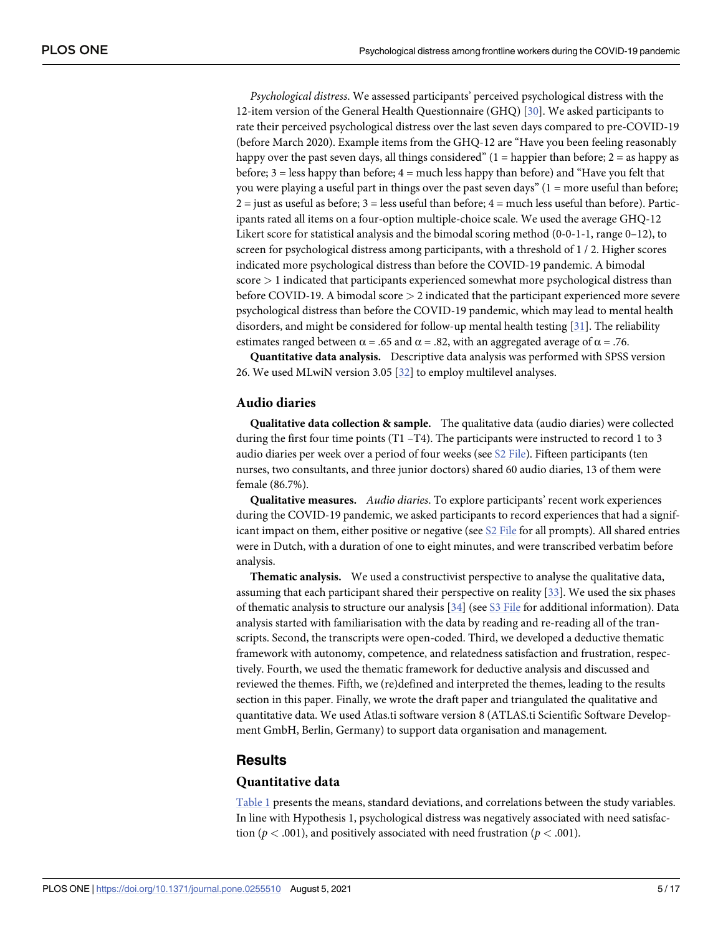*Psychological distress*. We assessed participants' perceived psychological distress with the 12-item version of the General Health Questionnaire (GHQ) [30]. We asked participants to rate their perceived psychological distress over the last seven days compared to pre-COVID-19 (before March 2020). Example items from the GHQ-12 are "Have you been feeling reasonably happy over the past seven days, all things considered"  $(1 = happier than before; 2 = as happy as$ before; 3 = less happy than before; 4 = much less happy than before) and "Have you felt that you were playing a useful part in things over the past seven days" (1 = more useful than before;  $2 =$  just as useful as before;  $3 =$  less useful than before;  $4 =$  much less useful than before). Participants rated all items on a four-option multiple-choice scale. We used the average GHQ-12 Likert score for statistical analysis and the bimodal scoring method (0-0-1-1, range 0–12), to screen for psychological distress among participants, with a threshold of 1 / 2. Higher scores indicated more psychological distress than before the COVID-19 pandemic. A bimodal score *>* 1 indicated that participants experienced somewhat more psychological distress than before COVID-19. A bimodal score *>* 2 indicated that the participant experienced more severe psychological distress than before the COVID-19 pandemic, which may lead to mental health disorders, and might be considered for follow-up mental health testing [31]. The reliability estimates ranged between  $\alpha$  = .65 and  $\alpha$  = .82, with an aggregated average of  $\alpha$  = .76.

**Quantitative data analysis.** Descriptive data analysis was performed with SPSS version 26. We used MLwiN version 3.05 [32] to employ multilevel analyses.

#### **Audio diaries**

**Qualitative data collection & sample.** The qualitative data (audio diaries) were collected during the first four time points (T1 –T4). The participants were instructed to record 1 to 3 audio diaries per week over a period of four weeks (see S2 File). Fifteen participants (ten nurses, two consultants, and three junior doctors) shared 60 audio diaries, 13 of them were female (86.7%).

**Qualitative measures.** *Audio diaries*. To explore participants' recent work experiences during the COVID-19 pandemic, we asked participants to record experiences that had a significant impact on them, either positive or negative (see  $S2$  File for all prompts). All shared entries were in Dutch, with a duration of one to eight minutes, and were transcribed verbatim before analysis.

**Thematic analysis.** We used a constructivist perspective to analyse the qualitative data, assuming that each participant shared their perspective on reality [33]. We used the six phases of thematic analysis to structure our analysis  $[34]$  (see S3 File for additional information). Data analysis started with familiarisation with the data by reading and re-reading all of the transcripts. Second, the transcripts were open-coded. Third, we developed a deductive thematic framework with autonomy, competence, and relatedness satisfaction and frustration, respectively. Fourth, we used the thematic framework for deductive analysis and discussed and reviewed the themes. Fifth, we (re)defined and interpreted the themes, leading to the results section in this paper. Finally, we wrote the draft paper and triangulated the qualitative and quantitative data. We used Atlas.ti software version 8 (ATLAS.ti Scientific Software Development GmbH, Berlin, Germany) to support data organisation and management.

#### **Results**

#### **Quantitative data**

Table 1 presents the means, standard deviations, and correlations between the study variables. In line with Hypothesis 1, psychological distress was negatively associated with need satisfaction ( $p < .001$ ), and positively associated with need frustration ( $p < .001$ ).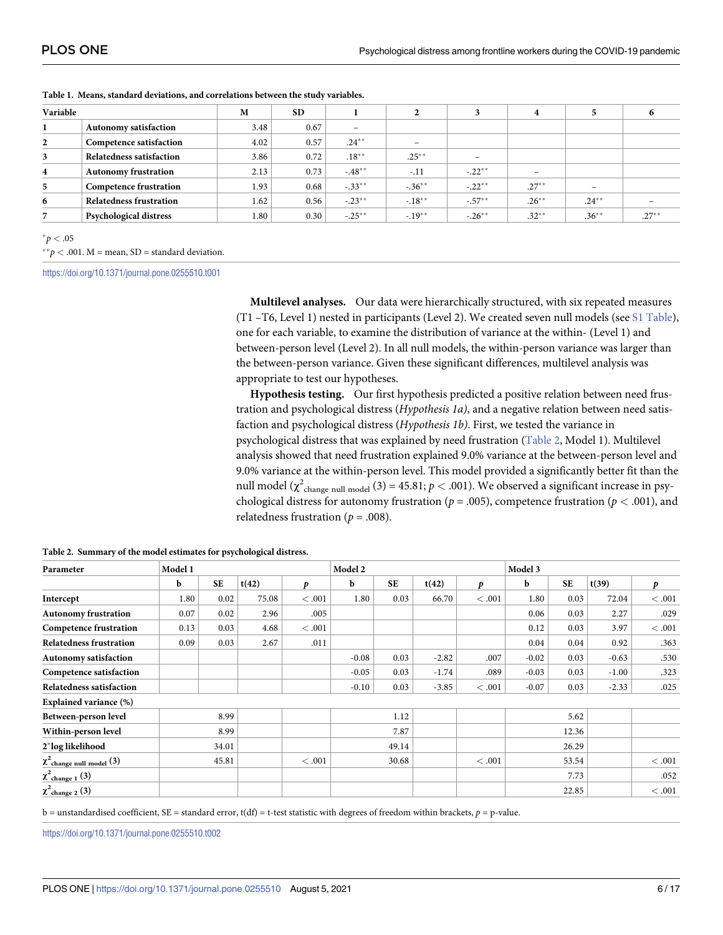| Variable     |                                | M    | <b>SD</b> |                          | $\rightarrow$ |           | 4        |                              | o        |
|--------------|--------------------------------|------|-----------|--------------------------|---------------|-----------|----------|------------------------------|----------|
|              | Autonomy satisfaction          | 3.48 | 0.67      | $\overline{\phantom{a}}$ |               |           |          |                              |          |
| $\mathbf{2}$ | Competence satisfaction        | 4.02 | 0.57      | $.24***$                 |               |           |          |                              |          |
| 3            | Relatedness satisfaction       | 3.86 | 0.72      | $.18***$                 | $.25***$      | -         |          |                              |          |
| 4            | <b>Autonomy frustration</b>    | 2.13 | 0.73      | $-48**$                  | $-.11$        | $-.22***$ |          |                              |          |
| 5            | <b>Competence frustration</b>  | 1.93 | 0.68      | $-.33**$                 | $-.36***$     | $-.22**$  | $.27***$ | $\qquad \qquad \blacksquare$ |          |
| 6            | <b>Relatedness frustration</b> | 1.62 | 0.56      | $-.23***$                | $-.18***$     | $-.57***$ | $.26***$ | $.24***$                     |          |
|              | Psychological distress         | 1.80 | 0.30      | $-.25***$                | $-.19***$     | $-.26***$ | $.32**$  | $.36***$                     | $.27***$ |

**Table 1. Means, standard deviations, and correlations between the study variables.**

 $*p < .05$ 

⇤⇤*p <* .001. M = mean, SD = standard deviation.

https://doi.org/10.1371/journal.pone.0255510.t001

**Multilevel analyses.** Our data were hierarchically structured, with six repeated measures (T1 –T6, Level 1) nested in participants (Level 2). We created seven null models (see S1 Table), one for each variable, to examine the distribution of variance at the within- (Level 1) and between-person level (Level 2). In all null models, the within-person variance was larger than the between-person variance. Given these significant differences, multilevel analysis was appropriate to test our hypotheses.

**Hypothesis testing.** Our first hypothesis predicted a positive relation between need frustration and psychological distress (*Hypothesis 1a)*, and a negative relation between need satisfaction and psychological distress (*Hypothesis 1b)*. First, we tested the variance in psychological distress that was explained by need frustration (Table 2, Model 1). Multilevel analysis showed that need frustration explained 9.0% variance at the between-person level and 9.0% variance at the within-person level. This model provided a significantly better fit than the null model ( $\chi^2$ <sub>change null model</sub> (3) = 45.81; *p* < .001). We observed a significant increase in psychological distress for autonomy frustration (*p* = .005), competence frustration (*p <* .001), and relatedness frustration ( $p = .008$ ).

| Parameter                      | Model 1 |           |       |         | Model 2 |           |         |         | Model 3 |           |                     |       |
|--------------------------------|---------|-----------|-------|---------|---------|-----------|---------|---------|---------|-----------|---------------------|-------|
|                                | b       | <b>SE</b> | t(42) | D       | b       | <b>SE</b> | t(42)   | p       | b       | <b>SE</b> | $\vert t(39) \vert$ | p     |
| Intercept                      | 1.80    | 0.02      | 75.08 | < 0.001 | 1.80    | 0.03      | 66.70   | < 0.001 | 1.80    | 0.03      | 72.04               | <.001 |
| <b>Autonomy frustration</b>    | 0.07    | 0.02      | 2.96  | .005    |         |           |         |         | 0.06    | 0.03      | 2.27                | .029  |
| <b>Competence frustration</b>  | 0.13    | 0.03      | 4.68  | < 0.001 |         |           |         |         | 0.12    | 0.03      | 3.97                | <.001 |
| <b>Relatedness frustration</b> | 0.09    | 0.03      | 2.67  | .011    |         |           |         |         | 0.04    | 0.04      | 0.92                | .363  |
| <b>Autonomy satisfaction</b>   |         |           |       |         | $-0.08$ | 0.03      | $-2.82$ | .007    | $-0.02$ | 0.03      | $-0.63$             | .530  |
| Competence satisfaction        |         |           |       |         | $-0.05$ | 0.03      | $-1.74$ | .089    | $-0.03$ | 0.03      | $-1.00$             | .323  |
| Relatedness satisfaction       |         |           |       |         | $-0.10$ | 0.03      | $-3.85$ | < 0.001 | $-0.07$ | 0.03      | $-2.33$             | .025  |
| <b>Explained variance (%)</b>  |         |           |       |         |         |           |         |         |         |           |                     |       |
| Between-person level           |         | 8.99      |       |         |         | 1.12      |         |         |         | 5.62      |                     |       |
| Within-person level            |         | 8.99      |       |         |         | 7.87      |         |         |         | 12.36     |                     |       |
| 2*log likelihood               |         | 34.01     |       |         |         | 49.14     |         |         |         | 26.29     |                     |       |
| $\chi^2$ change null model (3) |         | 45.81     |       | < 0.001 |         | 30.68     |         | <.001   |         | 53.54     |                     | <.001 |
| $\chi^2$ change 1 (3)          |         |           |       |         |         |           |         |         |         | 7.73      |                     | .052  |
| $\chi^2$ change 2 (3)          |         |           |       |         |         |           |         |         |         | 22.85     |                     | <.001 |

**Table 2. Summary of the model estimates for psychological distress.**

b = unstandardised coefficient, SE = standard error, t(df) = t-test statistic with degrees of freedom within brackets, *p* = p-value.

https://doi.org/10.1371/journal.pone.0255510.t002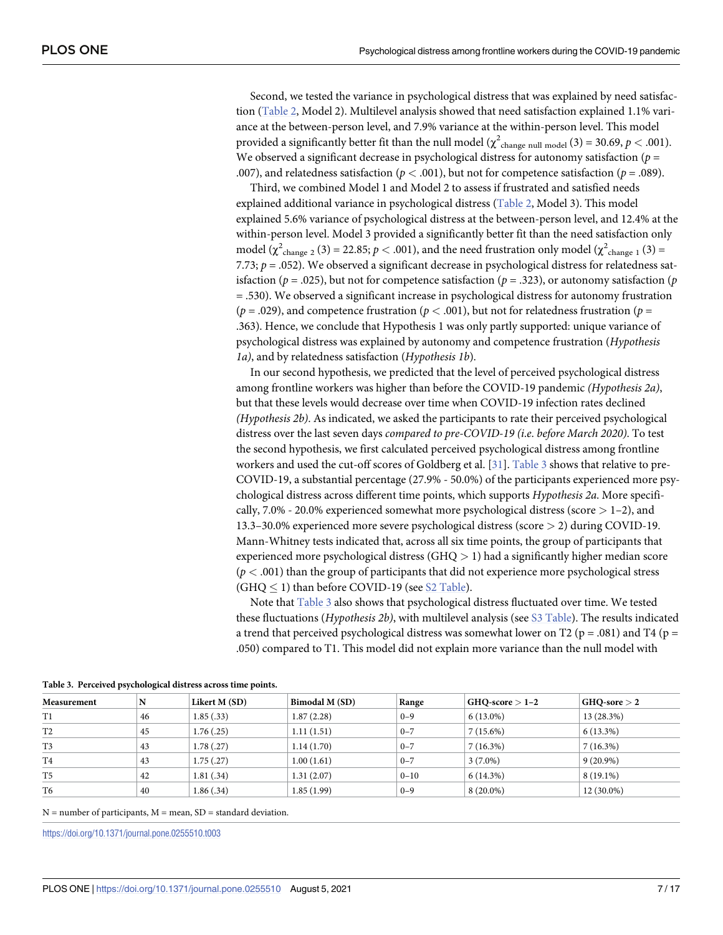Second, we tested the variance in psychological distress that was explained by need satisfaction (Table 2, Model 2). Multilevel analysis showed that need satisfaction explained 1.1% variance at the between-person level, and 7.9% variance at the within-person level. This model provided a significantly better fit than the null model ( $\chi^2$ <sub>change null model</sub> (3) = 30.69, *p* < .001). We observed a significant decrease in psychological distress for autonomy satisfaction ( $p =$ .007), and relatedness satisfaction ( $p < .001$ ), but not for competence satisfaction ( $p = .089$ ).

Third, we combined Model 1 and Model 2 to assess if frustrated and satisfied needs explained additional variance in psychological distress (Table 2, Model 3). This model explained 5.6% variance of psychological distress at the between-person level, and 12.4% at the within-person level. Model 3 provided a significantly better fit than the need satisfaction only model ( $\chi^2$ <sub>change 2</sub> (3) = 22.85; *p* < .001), and the need frustration only model ( $\chi^2$ <sub>change 1</sub> (3) = 7.73;  $p = .052$ ). We observed a significant decrease in psychological distress for relatedness satisfaction ( $p = .025$ ), but not for competence satisfaction ( $p = .323$ ), or autonomy satisfaction ( $p = .925$ ) = .530). We observed a significant increase in psychological distress for autonomy frustration  $(p = .029)$ , and competence frustration ( $p < .001$ ), but not for relatedness frustration ( $p =$ .363). Hence, we conclude that Hypothesis 1 was only partly supported: unique variance of psychological distress was explained by autonomy and competence frustration (*Hypothesis 1a)*, and by relatedness satisfaction (*Hypothesis 1b*).

In our second hypothesis, we predicted that the level of perceived psychological distress among frontline workers was higher than before the COVID-19 pandemic *(Hypothesis 2a)*, but that these levels would decrease over time when COVID-19 infection rates declined *(Hypothesis 2b)*. As indicated, we asked the participants to rate their perceived psychological distress over the last seven days *compared to pre-COVID-19 (i*.*e*. *before March 2020)*. To test the second hypothesis, we first calculated perceived psychological distress among frontline workers and used the cut-off scores of Goldberg et al. [31]. Table 3 shows that relative to pre-COVID-19, a substantial percentage (27.9% - 50.0%) of the participants experienced more psychological distress across different time points, which supports *Hypothesis 2a*. More specifically, 7.0% - 20.0% experienced somewhat more psychological distress (score *>* 1–2), and 13.3–30.0% experienced more severe psychological distress (score *>* 2) during COVID-19. Mann-Whitney tests indicated that, across all six time points, the group of participants that experienced more psychological distress (GHQ *>* 1) had a significantly higher median score  $(p < .001)$  than the group of participants that did not experience more psychological stress  $(GHO \le 1)$  than before COVID-19 (see S2 Table).

Note that Table 3 also shows that psychological distress fluctuated over time. We tested these fluctuations (*Hypothesis 2b)*, with multilevel analysis (see S3 Table). The results indicated a trend that perceived psychological distress was somewhat lower on T2 ( $p = .081$ ) and T4 ( $p =$ .050) compared to T1. This model did not explain more variance than the null model with

|                | $\cdot$ |               |                       |          |                    |                         |  |
|----------------|---------|---------------|-----------------------|----------|--------------------|-------------------------|--|
| Measurement    |         | Likert M (SD) | <b>Bimodal M (SD)</b> | Range    | $ GHQ-score > 1-2$ | $ GHO\text{-}sore > 2 $ |  |
| T1             | 46      | 1.85(.33)     | 1.87(2.28)            | $0 - 9$  | $6(13.0\%)$        | 13 (28.3%)              |  |
| T <sub>2</sub> | 45      | 1.76(.25)     | 1.11(1.51)            | $0 - 7$  | $7(15.6\%)$        | $6(13.3\%)$             |  |
| T3             | 43      | 1.78(0.27)    | 1.14(1.70)            | $0 - 7$  | $7(16.3\%)$        | 7(16.3%)                |  |
| T <sub>4</sub> | 43      | 1.75(.27)     | 1.00(1.61)            | $0 - 7$  | $3(7.0\%)$         | $9(20.9\%)$             |  |
| T <sub>5</sub> | 42      | 1.81(.34)     | 1.31(2.07)            | $0 - 10$ | 6 (14.3%)          | $8(19.1\%)$             |  |
| T6             | 40      | 1.86(.34)     | 1.85(1.99)            | $0 - 9$  | $8(20.0\%)$        | 12 (30.0%)              |  |

**Table 3. Perceived psychological distress across time points.**

 $N =$  number of participants,  $M =$  mean,  $SD =$  standard deviation.

https://doi.org/10.1371/journal.pone.0255510.t003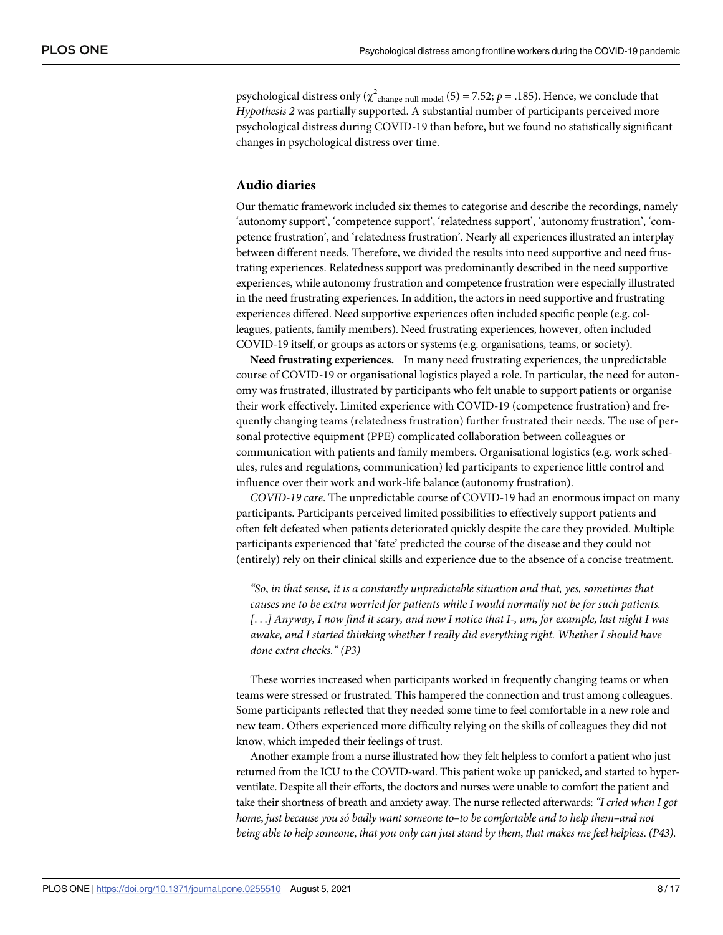psychological distress only ( $\chi^2$ <sub>change null model</sub> (5) = 7.52; *p* = .185). Hence, we conclude that *Hypothesis 2* was partially supported. A substantial number of participants perceived more psychological distress during COVID-19 than before, but we found no statistically significant changes in psychological distress over time.

#### **Audio diaries**

Our thematic framework included six themes to categorise and describe the recordings, namely 'autonomy support', 'competence support', 'relatedness support', 'autonomy frustration', 'competence frustration', and 'relatedness frustration'. Nearly all experiences illustrated an interplay between different needs. Therefore, we divided the results into need supportive and need frustrating experiences. Relatedness support was predominantly described in the need supportive experiences, while autonomy frustration and competence frustration were especially illustrated in the need frustrating experiences. In addition, the actors in need supportive and frustrating experiences differed. Need supportive experiences often included specific people (e.g. colleagues, patients, family members). Need frustrating experiences, however, often included COVID-19 itself, or groups as actors or systems (e.g. organisations, teams, or society).

**Need frustrating experiences.** In many need frustrating experiences, the unpredictable course of COVID-19 or organisational logistics played a role. In particular, the need for autonomy was frustrated, illustrated by participants who felt unable to support patients or organise their work effectively. Limited experience with COVID-19 (competence frustration) and frequently changing teams (relatedness frustration) further frustrated their needs. The use of personal protective equipment (PPE) complicated collaboration between colleagues or communication with patients and family members. Organisational logistics (e.g. work schedules, rules and regulations, communication) led participants to experience little control and influence over their work and work-life balance (autonomy frustration).

*COVID-19 care*. The unpredictable course of COVID-19 had an enormous impact on many participants. Participants perceived limited possibilities to effectively support patients and often felt defeated when patients deteriorated quickly despite the care they provided. Multiple participants experienced that 'fate' predicted the course of the disease and they could not (entirely) rely on their clinical skills and experience due to the absence of a concise treatment.

*"So*, *in that sense, it is a constantly unpredictable situation and that, yes, sometimes that causes me to be extra worried for patients while I would normally not be for such patients.* [...] Anyway, I now find it scary, and now I notice that I-, um, for example, last night I was *awake, and I started thinking whether I really did everything right. Whether I should have done extra checks." (P3)*

These worries increased when participants worked in frequently changing teams or when teams were stressed or frustrated. This hampered the connection and trust among colleagues. Some participants reflected that they needed some time to feel comfortable in a new role and new team. Others experienced more difficulty relying on the skills of colleagues they did not know, which impeded their feelings of trust.

Another example from a nurse illustrated how they felt helpless to comfort a patient who just returned from the ICU to the COVID-ward. This patient woke up panicked, and started to hyperventilate. Despite all their efforts, the doctors and nurses were unable to comfort the patient and take their shortness of breath and anxiety away. The nurse reflected afterwards: *"I cried when I got home*, *just because you só badly want someone to–to be comfortable and to help them–and not* being able to help someone, that you only can just stand by them, that makes me feel helpless. (P43).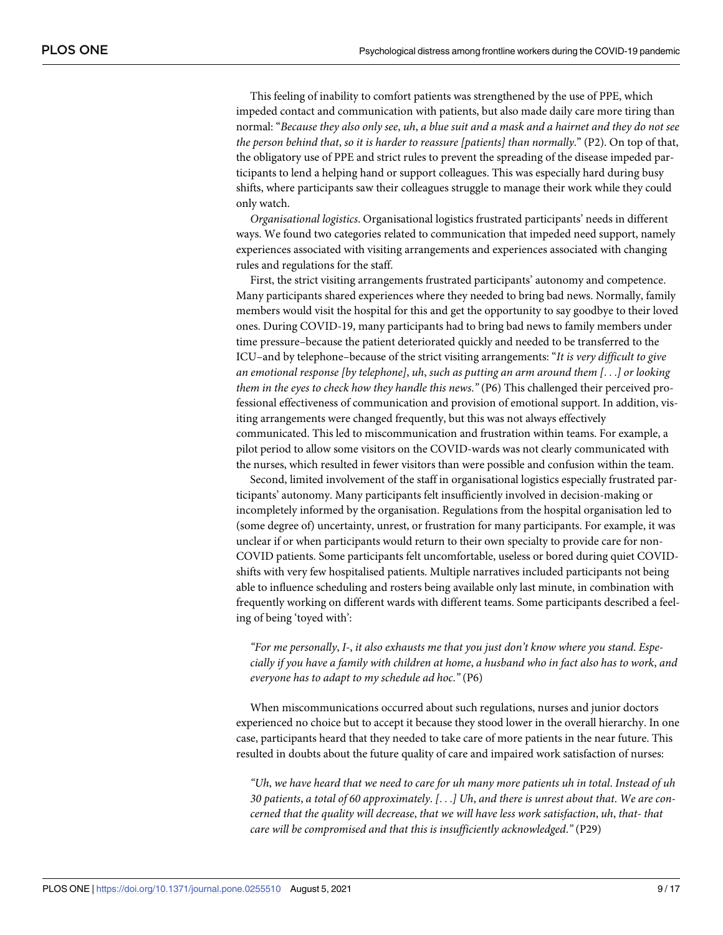This feeling of inability to comfort patients was strengthened by the use of PPE, which impeded contact and communication with patients, but also made daily care more tiring than normal: "Because they also only see, uh, a blue suit and a mask and a hairnet and they do not see *the person behind that*, *so it is harder to reassure [patients] than normally*." (P2). On top of that, the obligatory use of PPE and strict rules to prevent the spreading of the disease impeded participants to lend a helping hand or support colleagues. This was especially hard during busy shifts, where participants saw their colleagues struggle to manage their work while they could only watch.

*Organisational logistics*. Organisational logistics frustrated participants' needs in different ways. We found two categories related to communication that impeded need support, namely experiences associated with visiting arrangements and experiences associated with changing rules and regulations for the staff.

First, the strict visiting arrangements frustrated participants' autonomy and competence. Many participants shared experiences where they needed to bring bad news. Normally, family members would visit the hospital for this and get the opportunity to say goodbye to their loved ones. During COVID-19, many participants had to bring bad news to family members under time pressure–because the patient deteriorated quickly and needed to be transferred to the ICU–and by telephone–because of the strict visiting arrangements: "*It is very difficult to give an emotional response [by telephone]*, *uh*, *such as putting an arm around them [*. . .*] or looking them in the eyes to check how they handle this news*.*"* (P6) This challenged their perceived professional effectiveness of communication and provision of emotional support. In addition, visiting arrangements were changed frequently, but this was not always effectively communicated. This led to miscommunication and frustration within teams. For example, a pilot period to allow some visitors on the COVID-wards was not clearly communicated with the nurses, which resulted in fewer visitors than were possible and confusion within the team.

Second, limited involvement of the staff in organisational logistics especially frustrated participants' autonomy. Many participants felt insufficiently involved in decision-making or incompletely informed by the organisation. Regulations from the hospital organisation led to (some degree of) uncertainty, unrest, or frustration for many participants. For example, it was unclear if or when participants would return to their own specialty to provide care for non-COVID patients. Some participants felt uncomfortable, useless or bored during quiet COVIDshifts with very few hospitalised patients. Multiple narratives included participants not being able to influence scheduling and rosters being available only last minute, in combination with frequently working on different wards with different teams. Some participants described a feeling of being 'toyed with':

*"For me personally*, *I-*, *it also exhausts me that you just don't know where you stand*. *Espe*cially if you have a family with children at home, a husband who in fact also has to work, and *everyone has to adapt to my schedule ad hoc*.*"* (P6)

When miscommunications occurred about such regulations, nurses and junior doctors experienced no choice but to accept it because they stood lower in the overall hierarchy. In one case, participants heard that they needed to take care of more patients in the near future. This resulted in doubts about the future quality of care and impaired work satisfaction of nurses:

"Uh, we have heard that we need to care for uh many more patients uh in total. Instead of uh 30 patients, a total of 60 approximately.  $[\ldots]$  Uh, and there is unrest about that. We are con*cerned that the quality will decrease*, *that we will have less work satisfaction*, *uh*, *that- that care will be compromised and that this is insufficiently acknowledged*.*"* (P29)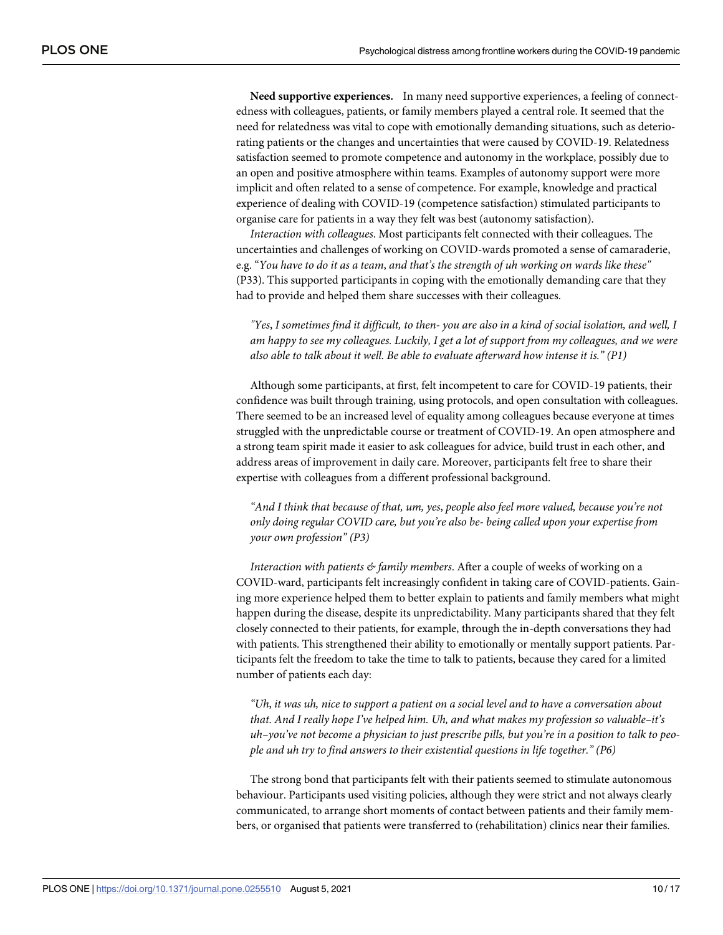**Need supportive experiences.** In many need supportive experiences, a feeling of connectedness with colleagues, patients, or family members played a central role. It seemed that the need for relatedness was vital to cope with emotionally demanding situations, such as deteriorating patients or the changes and uncertainties that were caused by COVID-19. Relatedness satisfaction seemed to promote competence and autonomy in the workplace, possibly due to an open and positive atmosphere within teams. Examples of autonomy support were more implicit and often related to a sense of competence. For example, knowledge and practical experience of dealing with COVID-19 (competence satisfaction) stimulated participants to organise care for patients in a way they felt was best (autonomy satisfaction).

*Interaction with colleagues*. Most participants felt connected with their colleagues. The uncertainties and challenges of working on COVID-wards promoted a sense of camaraderie, e.g. "You have to do it as a team, and that's the strength of uh working on wards like these" (P33). This supported participants in coping with the emotionally demanding care that they had to provide and helped them share successes with their colleagues.

"Yes, I sometimes find it difficult, to then-you are also in a kind of social isolation, and well, I am happy to see my colleagues. Luckily, I get a lot of support from my colleagues, and we were *also able to talk about it well. Be able to evaluate afterward how intense it is." (P1)*

Although some participants, at first, felt incompetent to care for COVID-19 patients, their confidence was built through training, using protocols, and open consultation with colleagues. There seemed to be an increased level of equality among colleagues because everyone at times struggled with the unpredictable course or treatment of COVID-19. An open atmosphere and a strong team spirit made it easier to ask colleagues for advice, build trust in each other, and address areas of improvement in daily care. Moreover, participants felt free to share their expertise with colleagues from a different professional background.

*"And I think that because of that, um, yes*, *people also feel more valued, because you're not only doing regular COVID care, but you're also be- being called upon your expertise from your own profession" (P3)*

*Interaction with patients & family members*. After a couple of weeks of working on a COVID-ward, participants felt increasingly confident in taking care of COVID-patients. Gaining more experience helped them to better explain to patients and family members what might happen during the disease, despite its unpredictability. Many participants shared that they felt closely connected to their patients, for example, through the in-depth conversations they had with patients. This strengthened their ability to emotionally or mentally support patients. Participants felt the freedom to take the time to talk to patients, because they cared for a limited number of patients each day:

"Uh, it was uh, nice to support a patient on a social level and to have a conversation about *that. And I really hope I've helped him. Uh, and what makes my profession so valuable–it's* uh–you've not become a physician to just prescribe pills, but you're in a position to talk to peo*ple and uh try to find answers to their existential questions in life together." (P6)*

The strong bond that participants felt with their patients seemed to stimulate autonomous behaviour. Participants used visiting policies, although they were strict and not always clearly communicated, to arrange short moments of contact between patients and their family members, or organised that patients were transferred to (rehabilitation) clinics near their families.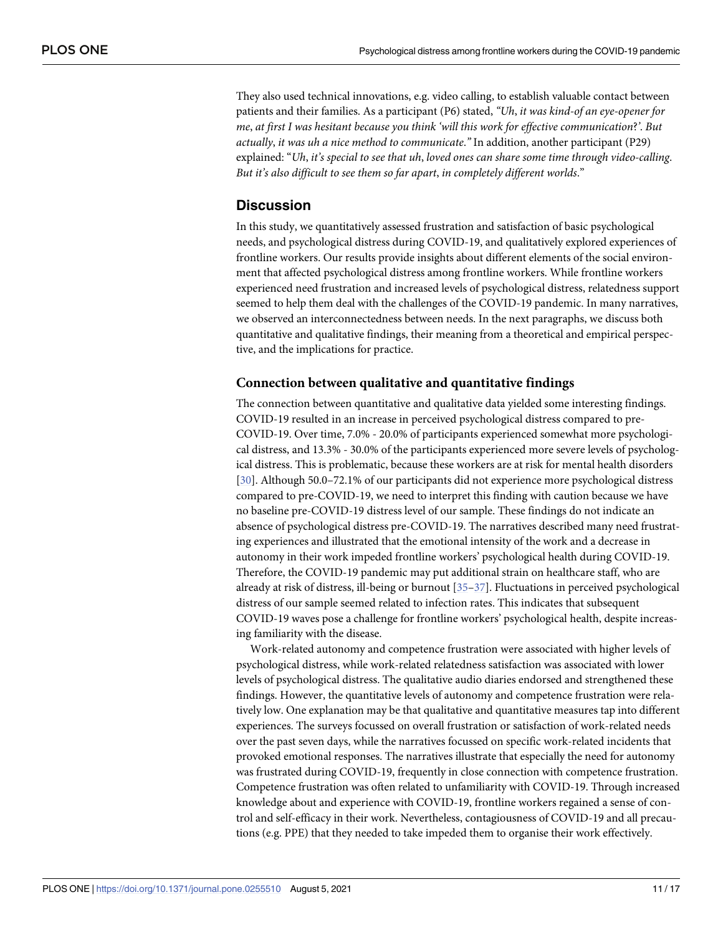They also used technical innovations, e.g. video calling, to establish valuable contact between patients and their families. As a participant (P6) stated, *"Uh*, *it was kind-of an eye-opener for me*, *at first I was hesitant because you think 'will this work for effective communication*?*'*. *But actually*, *it was uh a nice method to communicate*.*"* In addition, another participant (P29) explained: "*Uh*, *it's special to see that uh*, *loved ones can share some time through video-calling*. *But it's also difficult to see them so far apart*, *in completely different worlds*."

#### **Discussion**

In this study, we quantitatively assessed frustration and satisfaction of basic psychological needs, and psychological distress during COVID-19, and qualitatively explored experiences of frontline workers. Our results provide insights about different elements of the social environment that affected psychological distress among frontline workers. While frontline workers experienced need frustration and increased levels of psychological distress, relatedness support seemed to help them deal with the challenges of the COVID-19 pandemic. In many narratives, we observed an interconnectedness between needs. In the next paragraphs, we discuss both quantitative and qualitative findings, their meaning from a theoretical and empirical perspective, and the implications for practice.

#### **Connection between qualitative and quantitative findings**

The connection between quantitative and qualitative data yielded some interesting findings. COVID-19 resulted in an increase in perceived psychological distress compared to pre-COVID-19. Over time, 7.0% - 20.0% of participants experienced somewhat more psychological distress, and 13.3% - 30.0% of the participants experienced more severe levels of psychological distress. This is problematic, because these workers are at risk for mental health disorders [30]. Although 50.0–72.1% of our participants did not experience more psychological distress compared to pre-COVID-19, we need to interpret this finding with caution because we have no baseline pre-COVID-19 distress level of our sample. These findings do not indicate an absence of psychological distress pre-COVID-19. The narratives described many need frustrating experiences and illustrated that the emotional intensity of the work and a decrease in autonomy in their work impeded frontline workers' psychological health during COVID-19. Therefore, the COVID-19 pandemic may put additional strain on healthcare staff, who are already at risk of distress, ill-being or burnout [35–37]. Fluctuations in perceived psychological distress of our sample seemed related to infection rates. This indicates that subsequent COVID-19 waves pose a challenge for frontline workers' psychological health, despite increasing familiarity with the disease.

Work-related autonomy and competence frustration were associated with higher levels of psychological distress, while work-related relatedness satisfaction was associated with lower levels of psychological distress. The qualitative audio diaries endorsed and strengthened these findings. However, the quantitative levels of autonomy and competence frustration were relatively low. One explanation may be that qualitative and quantitative measures tap into different experiences. The surveys focussed on overall frustration or satisfaction of work-related needs over the past seven days, while the narratives focussed on specific work-related incidents that provoked emotional responses. The narratives illustrate that especially the need for autonomy was frustrated during COVID-19, frequently in close connection with competence frustration. Competence frustration was often related to unfamiliarity with COVID-19. Through increased knowledge about and experience with COVID-19, frontline workers regained a sense of control and self-efficacy in their work. Nevertheless, contagiousness of COVID-19 and all precautions (e.g. PPE) that they needed to take impeded them to organise their work effectively.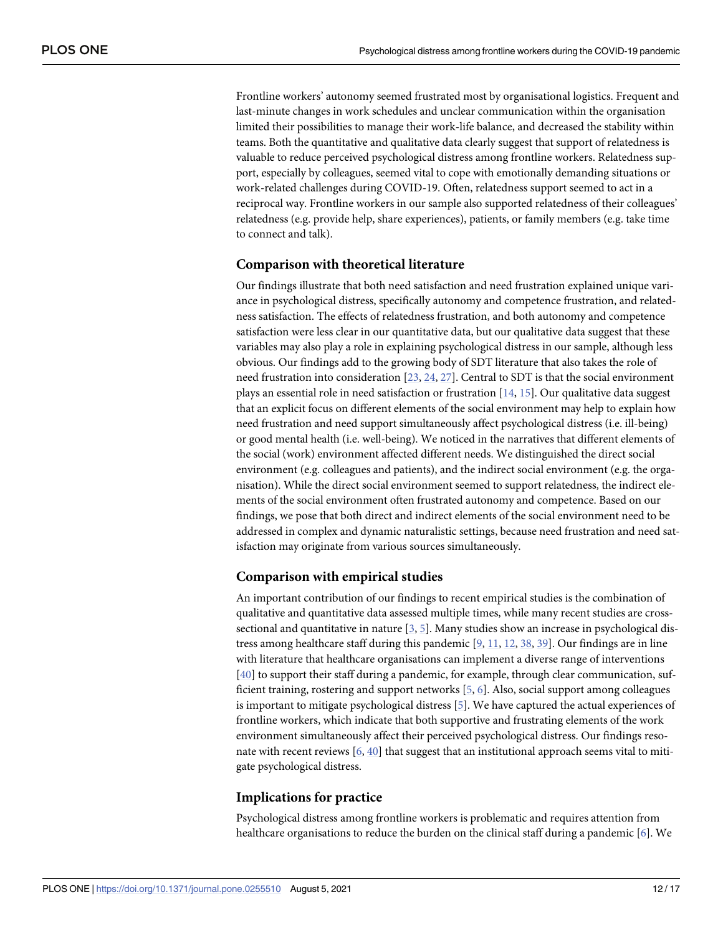Frontline workers' autonomy seemed frustrated most by organisational logistics. Frequent and last-minute changes in work schedules and unclear communication within the organisation limited their possibilities to manage their work-life balance, and decreased the stability within teams. Both the quantitative and qualitative data clearly suggest that support of relatedness is valuable to reduce perceived psychological distress among frontline workers. Relatedness support, especially by colleagues, seemed vital to cope with emotionally demanding situations or work-related challenges during COVID-19. Often, relatedness support seemed to act in a reciprocal way. Frontline workers in our sample also supported relatedness of their colleagues' relatedness (e.g. provide help, share experiences), patients, or family members (e.g. take time to connect and talk).

#### **Comparison with theoretical literature**

Our findings illustrate that both need satisfaction and need frustration explained unique variance in psychological distress, specifically autonomy and competence frustration, and relatedness satisfaction. The effects of relatedness frustration, and both autonomy and competence satisfaction were less clear in our quantitative data, but our qualitative data suggest that these variables may also play a role in explaining psychological distress in our sample, although less obvious. Our findings add to the growing body of SDT literature that also takes the role of need frustration into consideration [23, 24, 27]. Central to SDT is that the social environment plays an essential role in need satisfaction or frustration [14, 15]. Our qualitative data suggest that an explicit focus on different elements of the social environment may help to explain how need frustration and need support simultaneously affect psychological distress (i.e. ill-being) or good mental health (i.e. well-being). We noticed in the narratives that different elements of the social (work) environment affected different needs. We distinguished the direct social environment (e.g. colleagues and patients), and the indirect social environment (e.g. the organisation). While the direct social environment seemed to support relatedness, the indirect elements of the social environment often frustrated autonomy and competence. Based on our findings, we pose that both direct and indirect elements of the social environment need to be addressed in complex and dynamic naturalistic settings, because need frustration and need satisfaction may originate from various sources simultaneously.

#### **Comparison with empirical studies**

An important contribution of our findings to recent empirical studies is the combination of qualitative and quantitative data assessed multiple times, while many recent studies are crosssectional and quantitative in nature [3, 5]. Many studies show an increase in psychological distress among healthcare staff during this pandemic [9, 11, 12, 38, 39]. Our findings are in line with literature that healthcare organisations can implement a diverse range of interventions [40] to support their staff during a pandemic, for example, through clear communication, sufficient training, rostering and support networks [5, 6]. Also, social support among colleagues is important to mitigate psychological distress [5]. We have captured the actual experiences of frontline workers, which indicate that both supportive and frustrating elements of the work environment simultaneously affect their perceived psychological distress. Our findings resonate with recent reviews [6, 40] that suggest that an institutional approach seems vital to mitigate psychological distress.

#### **Implications for practice**

Psychological distress among frontline workers is problematic and requires attention from healthcare organisations to reduce the burden on the clinical staff during a pandemic [6]. We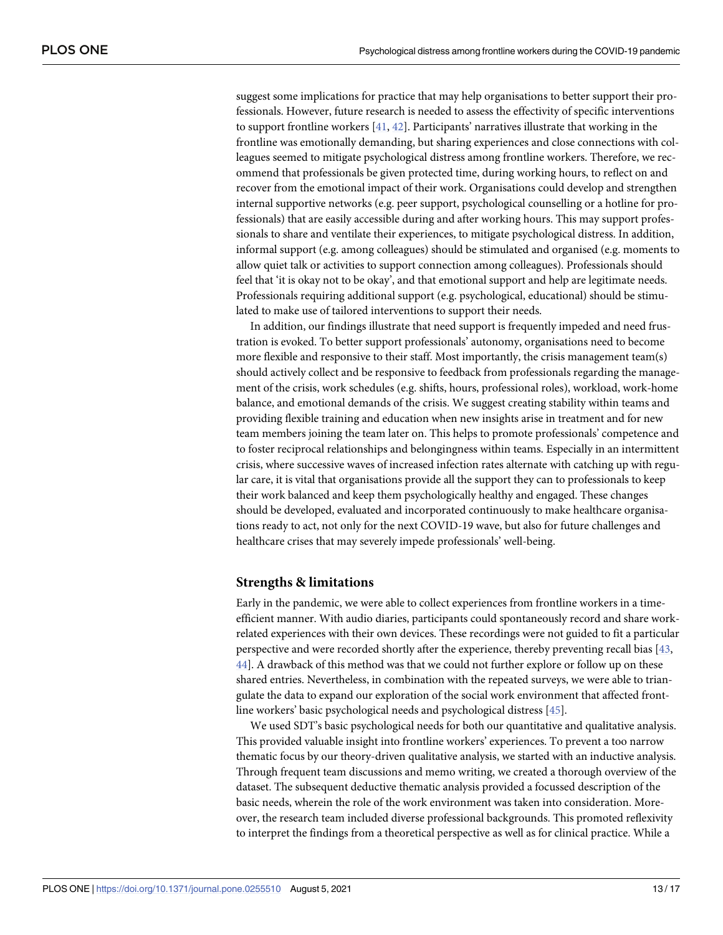suggest some implications for practice that may help organisations to better support their professionals. However, future research is needed to assess the effectivity of specific interventions to support frontline workers  $[41, 42]$ . Participants' narratives illustrate that working in the frontline was emotionally demanding, but sharing experiences and close connections with colleagues seemed to mitigate psychological distress among frontline workers. Therefore, we recommend that professionals be given protected time, during working hours, to reflect on and recover from the emotional impact of their work. Organisations could develop and strengthen internal supportive networks (e.g. peer support, psychological counselling or a hotline for professionals) that are easily accessible during and after working hours. This may support professionals to share and ventilate their experiences, to mitigate psychological distress. In addition, informal support (e.g. among colleagues) should be stimulated and organised (e.g. moments to allow quiet talk or activities to support connection among colleagues). Professionals should feel that 'it is okay not to be okay', and that emotional support and help are legitimate needs. Professionals requiring additional support (e.g. psychological, educational) should be stimulated to make use of tailored interventions to support their needs.

In addition, our findings illustrate that need support is frequently impeded and need frustration is evoked. To better support professionals' autonomy, organisations need to become more flexible and responsive to their staff. Most importantly, the crisis management team(s) should actively collect and be responsive to feedback from professionals regarding the management of the crisis, work schedules (e.g. shifts, hours, professional roles), workload, work-home balance, and emotional demands of the crisis. We suggest creating stability within teams and providing flexible training and education when new insights arise in treatment and for new team members joining the team later on. This helps to promote professionals' competence and to foster reciprocal relationships and belongingness within teams. Especially in an intermittent crisis, where successive waves of increased infection rates alternate with catching up with regular care, it is vital that organisations provide all the support they can to professionals to keep their work balanced and keep them psychologically healthy and engaged. These changes should be developed, evaluated and incorporated continuously to make healthcare organisations ready to act, not only for the next COVID-19 wave, but also for future challenges and healthcare crises that may severely impede professionals' well-being.

#### **Strengths & limitations**

Early in the pandemic, we were able to collect experiences from frontline workers in a timeefficient manner. With audio diaries, participants could spontaneously record and share workrelated experiences with their own devices. These recordings were not guided to fit a particular perspective and were recorded shortly after the experience, thereby preventing recall bias [43, 44]. A drawback of this method was that we could not further explore or follow up on these shared entries. Nevertheless, in combination with the repeated surveys, we were able to triangulate the data to expand our exploration of the social work environment that affected frontline workers' basic psychological needs and psychological distress [45].

We used SDT's basic psychological needs for both our quantitative and qualitative analysis. This provided valuable insight into frontline workers' experiences. To prevent a too narrow thematic focus by our theory-driven qualitative analysis, we started with an inductive analysis. Through frequent team discussions and memo writing, we created a thorough overview of the dataset. The subsequent deductive thematic analysis provided a focussed description of the basic needs, wherein the role of the work environment was taken into consideration. Moreover, the research team included diverse professional backgrounds. This promoted reflexivity to interpret the findings from a theoretical perspective as well as for clinical practice. While a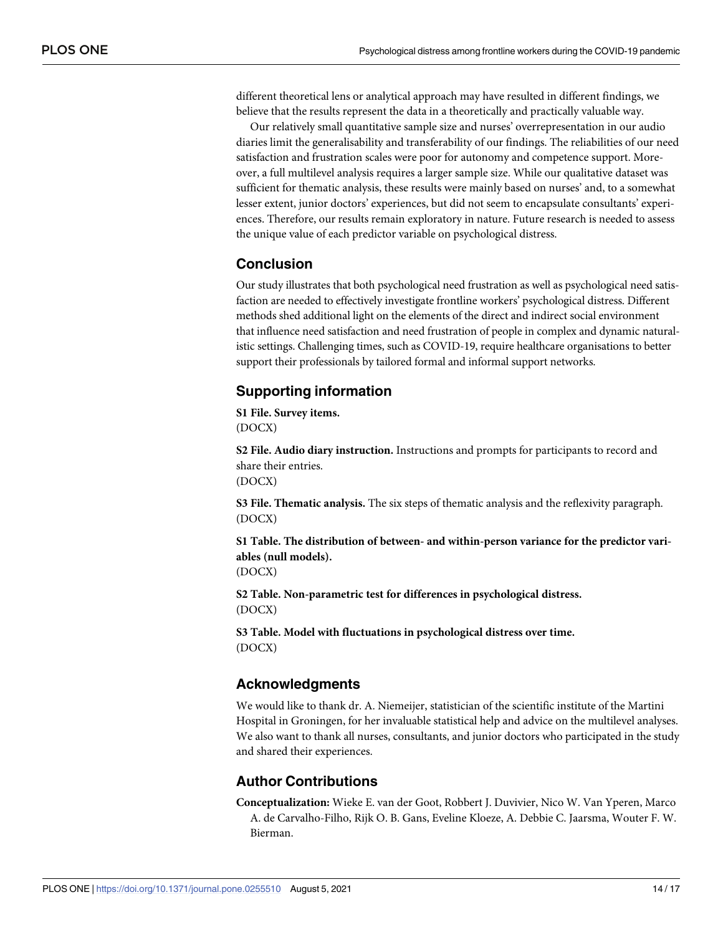different theoretical lens or analytical approach may have resulted in different findings, we believe that the results represent the data in a theoretically and practically valuable way.

Our relatively small quantitative sample size and nurses' overrepresentation in our audio diaries limit the generalisability and transferability of our findings. The reliabilities of our need satisfaction and frustration scales were poor for autonomy and competence support. Moreover, a full multilevel analysis requires a larger sample size. While our qualitative dataset was sufficient for thematic analysis, these results were mainly based on nurses' and, to a somewhat lesser extent, junior doctors' experiences, but did not seem to encapsulate consultants' experiences. Therefore, our results remain exploratory in nature. Future research is needed to assess the unique value of each predictor variable on psychological distress.

### **Conclusion**

Our study illustrates that both psychological need frustration as well as psychological need satisfaction are needed to effectively investigate frontline workers' psychological distress. Different methods shed additional light on the elements of the direct and indirect social environment that influence need satisfaction and need frustration of people in complex and dynamic naturalistic settings. Challenging times, such as COVID-19, require healthcare organisations to better support their professionals by tailored formal and informal support networks.

# **Supporting information**

**S1 File. Survey items.** (DOCX)

**S2 File. Audio diary instruction.** Instructions and prompts for participants to record and share their entries. (DOCX)

**S3 File. Thematic analysis.** The six steps of thematic analysis and the reflexivity paragraph. (DOCX)

**S1 Table. The distribution of between- and within-person variance for the predictor variables (null models).**

(DOCX)

**S2 Table. Non-parametric test for differences in psychological distress.** (DOCX)

**S3 Table. Model with fluctuations in psychological distress over time.** (DOCX)

# **Acknowledgments**

We would like to thank dr. A. Niemeijer, statistician of the scientific institute of the Martini Hospital in Groningen, for her invaluable statistical help and advice on the multilevel analyses. We also want to thank all nurses, consultants, and junior doctors who participated in the study and shared their experiences.

# **Author Contributions**

**Conceptualization:** Wieke E. van der Goot, Robbert J. Duvivier, Nico W. Van Yperen, Marco A. de Carvalho-Filho, Rijk O. B. Gans, Eveline Kloeze, A. Debbie C. Jaarsma, Wouter F. W. Bierman.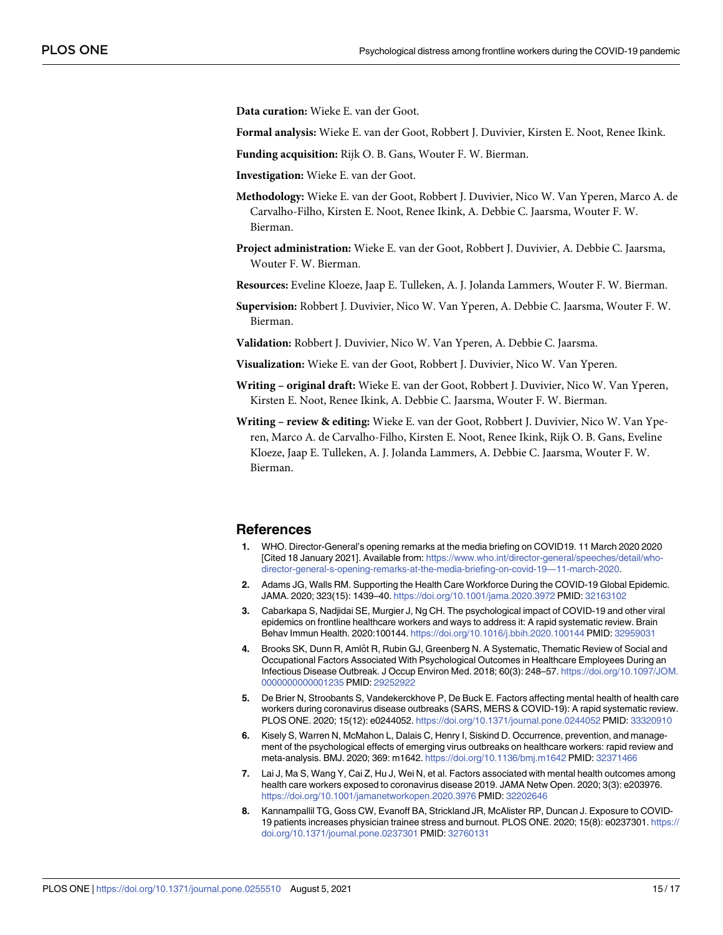**Data curation:** Wieke E. van der Goot.

**Formal analysis:** Wieke E. van der Goot, Robbert J. Duvivier, Kirsten E. Noot, Renee Ikink.

**Funding acquisition:** Rijk O. B. Gans, Wouter F. W. Bierman.

**Investigation:** Wieke E. van der Goot.

**Methodology:** Wieke E. van der Goot, Robbert J. Duvivier, Nico W. Van Yperen, Marco A. de Carvalho-Filho, Kirsten E. Noot, Renee Ikink, A. Debbie C. Jaarsma, Wouter F. W. Bierman.

**Project administration:** Wieke E. van der Goot, Robbert J. Duvivier, A. Debbie C. Jaarsma, Wouter F. W. Bierman.

**Resources:** Eveline Kloeze, Jaap E. Tulleken, A. J. Jolanda Lammers, Wouter F. W. Bierman.

**Supervision:** Robbert J. Duvivier, Nico W. Van Yperen, A. Debbie C. Jaarsma, Wouter F. W. Bierman.

**Validation:** Robbert J. Duvivier, Nico W. Van Yperen, A. Debbie C. Jaarsma.

**Visualization:** Wieke E. van der Goot, Robbert J. Duvivier, Nico W. Van Yperen.

- **Writing – original draft:** Wieke E. van der Goot, Robbert J. Duvivier, Nico W. Van Yperen, Kirsten E. Noot, Renee Ikink, A. Debbie C. Jaarsma, Wouter F. W. Bierman.
- **Writing – review & editing:** Wieke E. van der Goot, Robbert J. Duvivier, Nico W. Van Yperen, Marco A. de Carvalho-Filho, Kirsten E. Noot, Renee Ikink, Rijk O. B. Gans, Eveline Kloeze, Jaap E. Tulleken, A. J. Jolanda Lammers, A. Debbie C. Jaarsma, Wouter F. W. Bierman.

#### **References**

- **1.** WHO. Director-General's opening remarks at the media briefing on COVID19. 11 March 2020 2020 [Cited 18 January 2021]. Available from: https://www.who.int/director-general/speeches/detail/whodirector-general-s-opening-remarks-at-the-media-briefing-on-covid-19—11-march-2020.
- **2.** Adams JG, Walls RM. Supporting the Health Care Workforce During the COVID-19 Global Epidemic. JAMA. 2020; 323(15): 1439–40. https://doi.org/10.1001/jama.2020.3972 PMID: 32163102
- **3.** Cabarkapa S, Nadjidai SE, Murgier J, Ng CH. The psychological impact of COVID-19 and other viral epidemics on frontline healthcare workers and ways to address it: A rapid systematic review. Brain Behav Immun Health. 2020:100144. https://doi.org/10.1016/j.bbih.2020.100144 PMID: 32959031
- 4. Brooks SK, Dunn R, Amlôt R, Rubin GJ, Greenberg N. A Systematic, Thematic Review of Social and Occupational Factors Associated With Psychological Outcomes in Healthcare Employees During an Infectious Disease Outbreak. J Occup Environ Med. 2018; 60(3): 248–57. https://doi.org/10.1097/JOM. 0000000000001235 PMID: 29252922
- **5.** De Brier N, Stroobants S, Vandekerckhove P, De Buck E. Factors affecting mental health of health care workers during coronavirus disease outbreaks (SARS, MERS & COVID-19): A rapid systematic review. PLOS ONE. 2020; 15(12): e0244052. https://doi.org/10.1371/journal.pone.0244052 PMID: 33320910
- **6.** Kisely S, Warren N, McMahon L, Dalais C, Henry I, Siskind D. Occurrence, prevention, and management of the psychological effects of emerging virus outbreaks on healthcare workers: rapid review and meta-analysis. BMJ. 2020; 369: m1642. https://doi.org/10.1136/bmj.m1642 PMID: 32371466
- **7.** Lai J, Ma S, Wang Y, Cai Z, Hu J, Wei N, et al. Factors associated with mental health outcomes among health care workers exposed to coronavirus disease 2019. JAMA Netw Open. 2020; 3(3): e203976. https://doi.org/10.1001/jamanetworkopen.2020.3976 PMID: 32202646
- **8.** Kannampallil TG, Goss CW, Evanoff BA, Strickland JR, McAlister RP, Duncan J. Exposure to COVID-19 patients increases physician trainee stress and burnout. PLOS ONE. 2020; 15(8): e0237301. https:// doi.org/10.1371/journal.pone.0237301 PMID: 32760131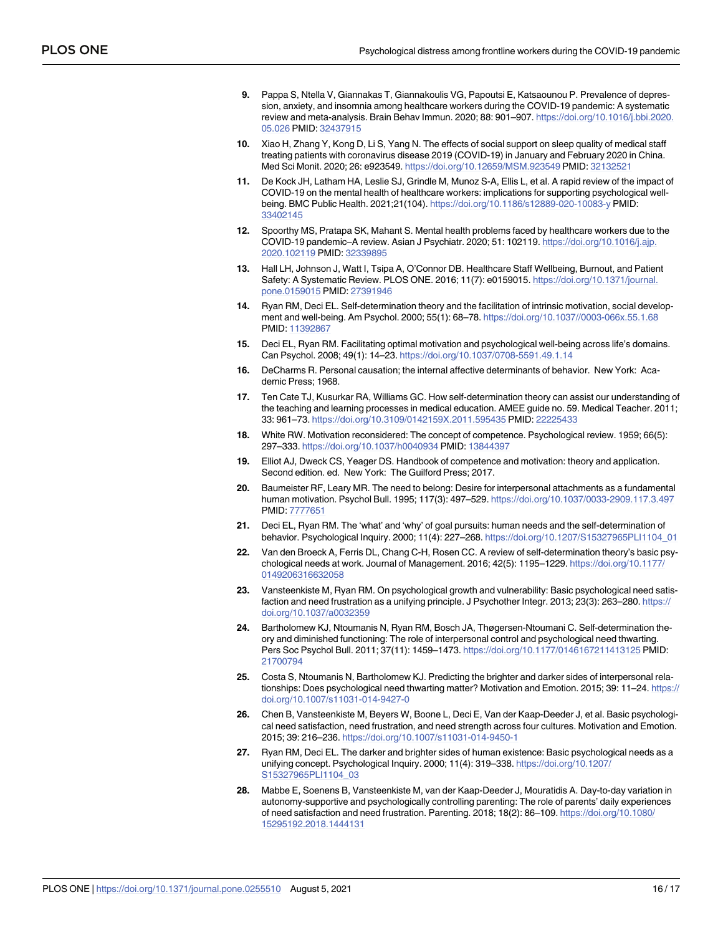- **9.** Pappa S, Ntella V, Giannakas T, Giannakoulis VG, Papoutsi E, Katsaounou P. Prevalence of depression, anxiety, and insomnia among healthcare workers during the COVID-19 pandemic: A systematic review and meta-analysis. Brain Behav Immun. 2020; 88: 901–907. https://doi.org/10.1016/j.bbi.2020. 05.026 PMID: 32437915
- **10.** Xiao H, Zhang Y, Kong D, Li S, Yang N. The effects of social support on sleep quality of medical staff treating patients with coronavirus disease 2019 (COVID-19) in January and February 2020 in China. Med Sci Monit. 2020; 26: e923549. https://doi.org/10.12659/MSM.923549 PMID: 32132521
- **11.** De Kock JH, Latham HA, Leslie SJ, Grindle M, Munoz S-A, Ellis L, et al. A rapid review of the impact of COVID-19 on the mental health of healthcare workers: implications for supporting psychological wellbeing. BMC Public Health. 2021;21(104). https://doi.org/10.1186/s12889-020-10083-y PMID: 33402145
- **12.** Spoorthy MS, Pratapa SK, Mahant S. Mental health problems faced by healthcare workers due to the COVID-19 pandemic–A review. Asian J Psychiatr. 2020; 51: 102119. https://doi.org/10.1016/j.ajp. 2020.102119 PMID: 32339895
- **13.** Hall LH, Johnson J, Watt I, Tsipa A, O'Connor DB. Healthcare Staff Wellbeing, Burnout, and Patient Safety: A Systematic Review. PLOS ONE. 2016; 11(7): e0159015. https://doi.org/10.1371/journal. pone.0159015 PMID: 27391946
- **14.** Ryan RM, Deci EL. Self-determination theory and the facilitation of intrinsic motivation, social development and well-being. Am Psychol. 2000; 55(1): 68–78. https://doi.org/10.1037//0003-066x.55.1.68 PMID: 11392867
- **15.** Deci EL, Ryan RM. Facilitating optimal motivation and psychological well-being across life's domains. Can Psychol. 2008; 49(1): 14–23. https://doi.org/10.1037/0708-5591.49.1.14
- **16.** DeCharms R. Personal causation; the internal affective determinants of behavior. New York: Academic Press; 1968.
- **17.** Ten Cate TJ, Kusurkar RA, Williams GC. How self-determination theory can assist our understanding of the teaching and learning processes in medical education. AMEE guide no. 59. Medical Teacher. 2011; 33: 961–73. https://doi.org/10.3109/0142159X.2011.595435 PMID: 22225433
- **18.** White RW. Motivation reconsidered: The concept of competence. Psychological review. 1959; 66(5): 297–333. https://doi.org/10.1037/h0040934 PMID: 13844397
- **19.** Elliot AJ, Dweck CS, Yeager DS. Handbook of competence and motivation: theory and application. Second edition. ed. New York: The Guilford Press; 2017.
- **20.** Baumeister RF, Leary MR. The need to belong: Desire for interpersonal attachments as a fundamental human motivation. Psychol Bull. 1995; 117(3): 497–529. https://doi.org/10.1037/0033-2909.117.3.497 PMID: 7777651
- **21.** Deci EL, Ryan RM. The 'what' and 'why' of goal pursuits: human needs and the self-determination of behavior. Psychological Inquiry. 2000; 11(4): 227–268. https://doi.org/10.1207/S15327965PLI1104\_01
- **22.** Van den Broeck A, Ferris DL, Chang C-H, Rosen CC. A review of self-determination theory's basic psychological needs at work. Journal of Management. 2016; 42(5): 1195–1229. https://doi.org/10.1177/ 0149206316632058
- **23.** Vansteenkiste M, Ryan RM. On psychological growth and vulnerability: Basic psychological need satisfaction and need frustration as a unifying principle. J Psychother Integr. 2013; 23(3): 263–280. https:// doi.org/10.1037/a0032359
- **24.** Bartholomew KJ, Ntoumanis N, Ryan RM, Bosch JA, Thøgersen-Ntoumani C. Self-determination theory and diminished functioning: The role of interpersonal control and psychological need thwarting. Pers Soc Psychol Bull. 2011; 37(11): 1459–1473. https://doi.org/10.1177/0146167211413125 PMID: 21700794
- **25.** Costa S, Ntoumanis N, Bartholomew KJ. Predicting the brighter and darker sides of interpersonal relationships: Does psychological need thwarting matter? Motivation and Emotion. 2015; 39: 11–24. https:// doi.org/10.1007/s11031-014-9427-0
- **26.** Chen B, Vansteenkiste M, Beyers W, Boone L, Deci E, Van der Kaap-Deeder J, et al. Basic psychological need satisfaction, need frustration, and need strength across four cultures. Motivation and Emotion. 2015; 39: 216–236. https://doi.org/10.1007/s11031-014-9450-1
- **27.** Ryan RM, Deci EL. The darker and brighter sides of human existence: Basic psychological needs as a unifying concept. Psychological Inquiry. 2000; 11(4): 319–338. https://doi.org/10.1207/ S15327965PLI1104\_03
- **28.** Mabbe E, Soenens B, Vansteenkiste M, van der Kaap-Deeder J, Mouratidis A. Day-to-day variation in autonomy-supportive and psychologically controlling parenting: The role of parents' daily experiences of need satisfaction and need frustration. Parenting. 2018; 18(2): 86–109. https://doi.org/10.1080/ 15295192.2018.1444131